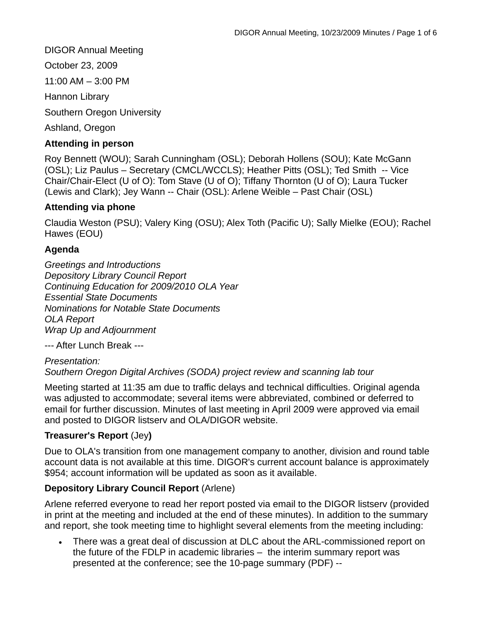DIGOR Annual Meeting October 23, 2009 11:00 AM – 3:00 PM Hannon Library Southern Oregon University Ashland, Oregon

### **Attending in person**

Roy Bennett (WOU); Sarah Cunningham (OSL); Deborah Hollens (SOU); Kate McGann (OSL); Liz Paulus – Secretary (CMCL/WCCLS); Heather Pitts (OSL); Ted Smith -- Vice Chair/Chair-Elect (U of O): Tom Stave (U of O); Tiffany Thornton (U of O); Laura Tucker (Lewis and Clark); Jey Wann -- Chair (OSL): Arlene Weible – Past Chair (OSL)

### **Attending via phone**

Claudia Weston (PSU); Valery King (OSU); Alex Toth (Pacific U); Sally Mielke (EOU); Rachel Hawes (EOU)

### **Agenda**

*Greetings and Introductions Depository Library Council Report Continuing Education for 2009/2010 OLA Year Essential State Documents Nominations for Notable State Documents OLA Report Wrap Up and Adjournment* 

--- After Lunch Break ---

*Presentation: Southern Oregon Digital Archives (SODA) project review and scanning lab tour* 

Meeting started at 11:35 am due to traffic delays and technical difficulties. Original agenda was adjusted to accommodate; several items were abbreviated, combined or deferred to email for further discussion. Minutes of last meeting in April 2009 were approved via email and posted to DIGOR listserv and OLA/DIGOR website.

# **Treasurer's Report** (Jey**)**

Due to OLA's transition from one management company to another, division and round table account data is not available at this time. DIGOR's current account balance is approximately \$954; account information will be updated as soon as it available.

# **Depository Library Council Report** (Arlene)

Arlene referred everyone to read her report posted via email to the DIGOR listserv (provided in print at the meeting and included at the end of these minutes). In addition to the summary and report, she took meeting time to highlight several elements from the meeting including:

• There was a great deal of discussion at DLC about the ARL-commissioned report on the future of the FDLP in academic libraries – the interim summary report was presented at the conference; see the 10-page summary (PDF) --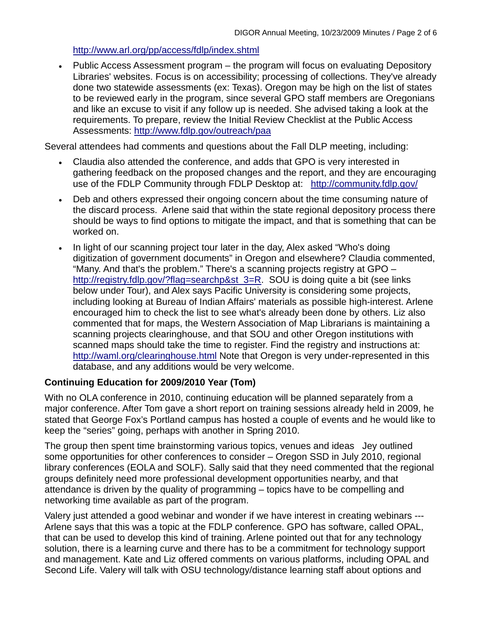### <http://www.arl.org/pp/access/fdlp/index.shtml>

• Public Access Assessment program – the program will focus on evaluating Depository Libraries' websites. Focus is on accessibility; processing of collections. They've already done two statewide assessments (ex: Texas). Oregon may be high on the list of states to be reviewed early in the program, since several GPO staff members are Oregonians and like an excuse to visit if any follow up is needed. She advised taking a look at the requirements. To prepare, review the Initial Review Checklist at the Public Access Assessments: <http://www.fdlp.gov/outreach/paa>

Several attendees had comments and questions about the Fall DLP meeting, including:

- Claudia also attended the conference, and adds that GPO is very interested in gathering feedback on the proposed changes and the report, and they are encouraging use of the FDLP Community through FDLP Desktop at: <http://community.fdlp.gov/>
- Deb and others expressed their ongoing concern about the time consuming nature of the discard process. Arlene said that within the state regional depository process there should be ways to find options to mitigate the impact, and that is something that can be worked on.
- In light of our scanning project tour later in the day, Alex asked "Who's doing digitization of government documents" in Oregon and elsewhere? Claudia commented, "Many. And that's the problem." There's a scanning projects registry at GPO – [http://registry.fdlp.gov/?flag=searchp&st\\_3=R.](http://registry.fdlp.gov/?flag=searchp&st_3=R) SOU is doing quite a bit (see links below under Tour), and Alex says Pacific University is considering some projects, including looking at Bureau of Indian Affairs' materials as possible high-interest. Arlene encouraged him to check the list to see what's already been done by others. Liz also commented that for maps, the Western Association of Map Librarians is maintaining a scanning projects clearinghouse, and that SOU and other Oregon institutions with scanned maps should take the time to register. Find the registry and instructions at: <http://waml.org/clearinghouse.html> Note that Oregon is very under-represented in this database, and any additions would be very welcome.

# **Continuing Education for 2009/2010 Year (Tom)**

With no OLA conference in 2010, continuing education will be planned separately from a major conference. After Tom gave a short report on training sessions already held in 2009, he stated that George Fox's Portland campus has hosted a couple of events and he would like to keep the "series" going, perhaps with another in Spring 2010.

The group then spent time brainstorming various topics, venues and ideas Jey outlined some opportunities for other conferences to consider – Oregon SSD in July 2010, regional library conferences (EOLA and SOLF). Sally said that they need commented that the regional groups definitely need more professional development opportunities nearby, and that attendance is driven by the quality of programming – topics have to be compelling and networking time available as part of the program.

Valery just attended a good webinar and wonder if we have interest in creating webinars --- Arlene says that this was a topic at the FDLP conference. GPO has software, called OPAL, that can be used to develop this kind of training. Arlene pointed out that for any technology solution, there is a learning curve and there has to be a commitment for technology support and management. Kate and Liz offered comments on various platforms, including OPAL and Second Life. Valery will talk with OSU technology/distance learning staff about options and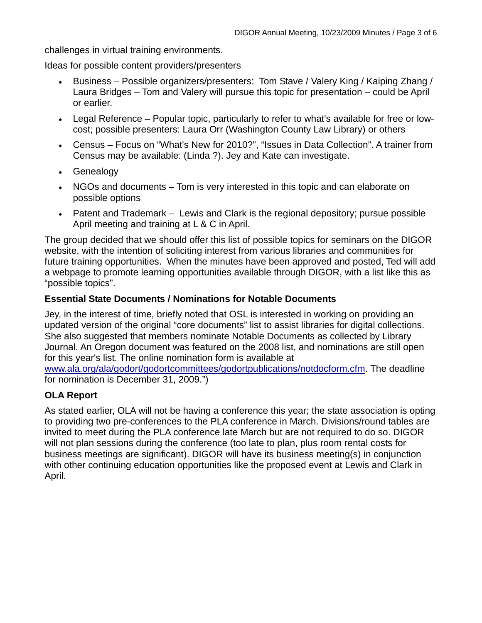challenges in virtual training environments.

Ideas for possible content providers/presenters

- Business Possible organizers/presenters: Tom Stave / Valery King / Kaiping Zhang / Laura Bridges – Tom and Valery will pursue this topic for presentation – could be April or earlier.
- Legal Reference Popular topic, particularly to refer to what's available for free or lowcost; possible presenters: Laura Orr (Washington County Law Library) or others
- Census Focus on "What's New for 2010?", "Issues in Data Collection". A trainer from Census may be available: (Linda ?). Jey and Kate can investigate.
- Genealogy
- NGOs and documents Tom is very interested in this topic and can elaborate on possible options
- Patent and Trademark Lewis and Clark is the regional depository; pursue possible April meeting and training at L & C in April.

The group decided that we should offer this list of possible topics for seminars on the DIGOR website, with the intention of soliciting interest from various libraries and communities for future training opportunities. When the minutes have been approved and posted, Ted will add a webpage to promote learning opportunities available through DIGOR, with a list like this as "possible topics".

### **Essential State Documents / Nominations for Notable Documents**

Jey, in the interest of time, briefly noted that OSL is interested in working on providing an updated version of the original "core documents" list to assist libraries for digital collections. She also suggested that members nominate Notable Documents as collected by Library Journal. An Oregon document was featured on the 2008 list, and nominations are still open for this year's list. The online nomination form is available at [www.ala.org/ala/godort/godortcommittees/godortpublications/notdocform.cfm](http://www.ala.org/ala/godort/godortcommittees/godortpublications/notdocform.cfm). The deadline for nomination is December 31, 2009.")

# **OLA Report**

As stated earlier, OLA will not be having a conference this year; the state association is opting to providing two pre-conferences to the PLA conference in March. Divisions/round tables are invited to meet during the PLA conference late March but are not required to do so. DIGOR will not plan sessions during the conference (too late to plan, plus room rental costs for business meetings are significant). DIGOR will have its business meeting(s) in conjunction with other continuing education opportunities like the proposed event at Lewis and Clark in April.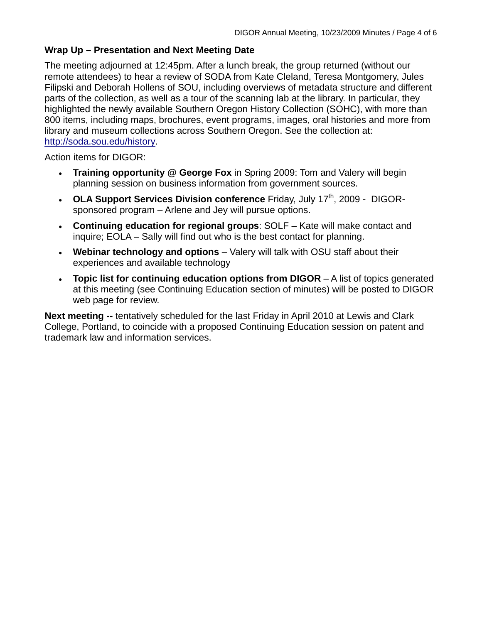# **Wrap Up – Presentation and Next Meeting Date**

The meeting adjourned at 12:45pm. After a lunch break, the group returned (without our remote attendees) to hear a review of SODA from Kate Cleland, Teresa Montgomery, Jules Filipski and Deborah Hollens of SOU, including overviews of metadata structure and different parts of the collection, as well as a tour of the scanning lab at the library. In particular, they highlighted the newly available Southern Oregon History Collection (SOHC), with more than 800 items, including maps, brochures, event programs, images, oral histories and more from library and museum collections across Southern Oregon. See the collection at: [http://soda.sou.edu/history.](http://soda.sou.edu/history)

Action items for DIGOR:

- **Training opportunity @ George Fox** in Spring 2009: Tom and Valery will begin planning session on business information from government sources.
- OLA Support Services Division conference Friday, July 17<sup>th</sup>, 2009 DIGORsponsored program – Arlene and Jey will pursue options.
- **Continuing education for regional groups**: SOLF Kate will make contact and inquire; EOLA – Sally will find out who is the best contact for planning.
- **Webinar technology and options** Valery will talk with OSU staff about their experiences and available technology
- **Topic list for continuing education options from DIGOR** A list of topics generated at this meeting (see Continuing Education section of minutes) will be posted to DIGOR web page for review.

**Next meeting --** tentatively scheduled for the last Friday in April 2010 at Lewis and Clark College, Portland, to coincide with a proposed Continuing Education session on patent and trademark law and information services.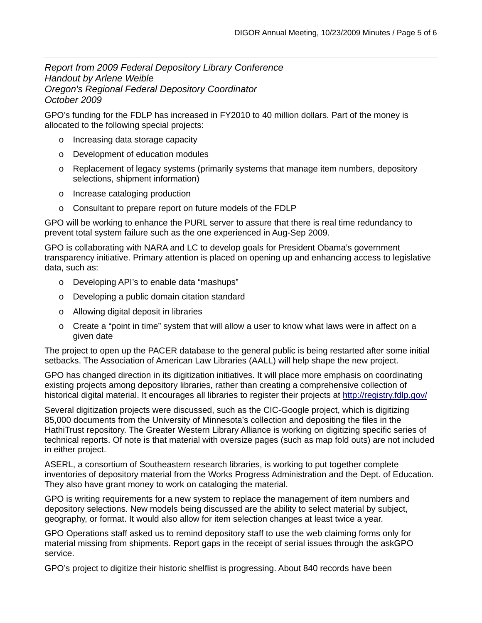*Report from 2009 Federal Depository Library Conference Handout by Arlene Weible Oregon's Regional Federal Depository Coordinator October 2009* 

GPO's funding for the FDLP has increased in FY2010 to 40 million dollars. Part of the money is allocated to the following special projects:

- o Increasing data storage capacity
- o Development of education modules
- o Replacement of legacy systems (primarily systems that manage item numbers, depository selections, shipment information)
- o Increase cataloging production
- o Consultant to prepare report on future models of the FDLP

GPO will be working to enhance the PURL server to assure that there is real time redundancy to prevent total system failure such as the one experienced in Aug-Sep 2009.

GPO is collaborating with NARA and LC to develop goals for President Obama's government transparency initiative. Primary attention is placed on opening up and enhancing access to legislative data, such as:

- o Developing API's to enable data "mashups"
- o Developing a public domain citation standard
- o Allowing digital deposit in libraries
- $\circ$  Create a "point in time" system that will allow a user to know what laws were in affect on a given date

The project to open up the PACER database to the general public is being restarted after some initial setbacks. The Association of American Law Libraries (AALL) will help shape the new project.

GPO has changed direction in its digitization initiatives. It will place more emphasis on coordinating existing projects among depository libraries, rather than creating a comprehensive collection of historical digital material. It encourages all libraries to register their projects at<http://registry.fdlp.gov/>

Several digitization projects were discussed, such as the CIC-Google project, which is digitizing 85,000 documents from the University of Minnesota's collection and depositing the files in the HathiTrust repository. The Greater Western Library Alliance is working on digitizing specific series of technical reports. Of note is that material with oversize pages (such as map fold outs) are not included in either project.

ASERL, a consortium of Southeastern research libraries, is working to put together complete inventories of depository material from the Works Progress Administration and the Dept. of Education. They also have grant money to work on cataloging the material.

GPO is writing requirements for a new system to replace the management of item numbers and depository selections. New models being discussed are the ability to select material by subject, geography, or format. It would also allow for item selection changes at least twice a year.

GPO Operations staff asked us to remind depository staff to use the web claiming forms only for material missing from shipments. Report gaps in the receipt of serial issues through the askGPO service.

GPO's project to digitize their historic shelflist is progressing. About 840 records have been